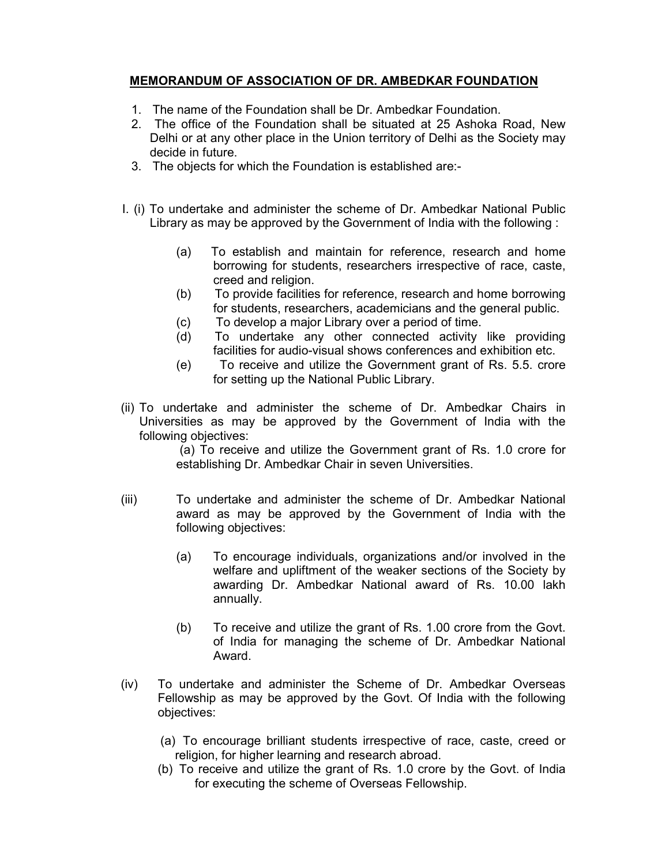## MEMORANDUM OF ASSOCIATION OF DR. AMBEDKAR FOUNDATION

- 1. The name of the Foundation shall be Dr. Ambedkar Foundation.
- 2. The office of the Foundation shall be situated at 25 Ashoka Road, New Delhi or at any other place in the Union territory of Delhi as the Society may decide in future.
- 3. The objects for which the Foundation is established are:-
- I. (i) To undertake and administer the scheme of Dr. Ambedkar National Public Library as may be approved by the Government of India with the following :
	- (a) To establish and maintain for reference, research and home borrowing for students, researchers irrespective of race, caste, creed and religion.
	- (b) To provide facilities for reference, research and home borrowing for students, researchers, academicians and the general public.
	- (c) To develop a major Library over a period of time.
	- (d) To undertake any other connected activity like providing facilities for audio-visual shows conferences and exhibition etc.
	- (e) To receive and utilize the Government grant of Rs. 5.5. crore for setting up the National Public Library.
- (ii) To undertake and administer the scheme of Dr. Ambedkar Chairs in Universities as may be approved by the Government of India with the following objectives:

 (a) To receive and utilize the Government grant of Rs. 1.0 crore for establishing Dr. Ambedkar Chair in seven Universities.

- (iii) To undertake and administer the scheme of Dr. Ambedkar National award as may be approved by the Government of India with the following objectives:
	- (a) To encourage individuals, organizations and/or involved in the welfare and upliftment of the weaker sections of the Society by awarding Dr. Ambedkar National award of Rs. 10.00 lakh annually.
	- (b) To receive and utilize the grant of Rs. 1.00 crore from the Govt. of India for managing the scheme of Dr. Ambedkar National Award.
- (iv) To undertake and administer the Scheme of Dr. Ambedkar Overseas Fellowship as may be approved by the Govt. Of India with the following objectives:
	- (a) To encourage brilliant students irrespective of race, caste, creed or religion, for higher learning and research abroad.
	- (b) To receive and utilize the grant of Rs. 1.0 crore by the Govt. of India for executing the scheme of Overseas Fellowship.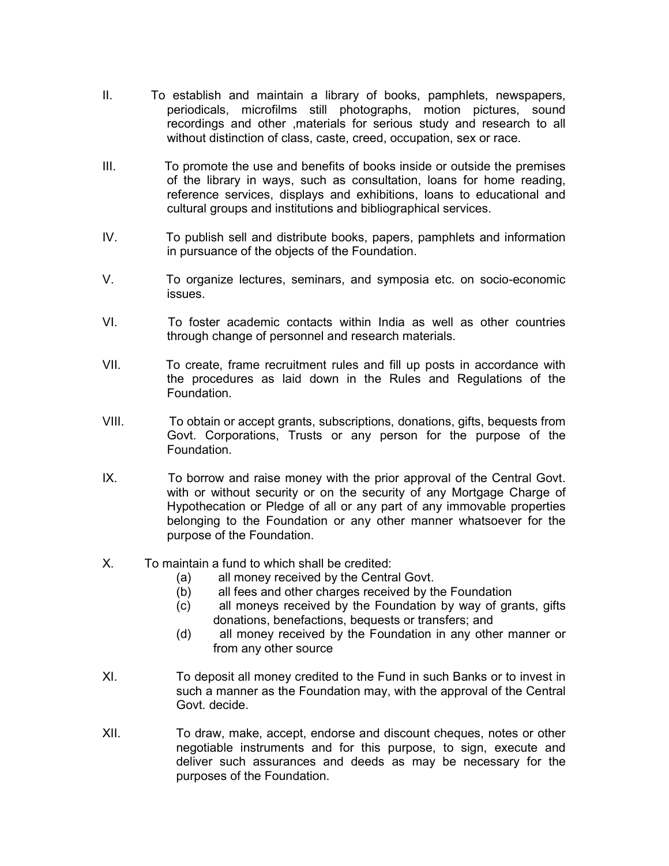- II. To establish and maintain a library of books, pamphlets, newspapers, periodicals, microfilms still photographs, motion pictures, sound recordings and other ,materials for serious study and research to all without distinction of class, caste, creed, occupation, sex or race.
- III. To promote the use and benefits of books inside or outside the premises of the library in ways, such as consultation, loans for home reading, reference services, displays and exhibitions, loans to educational and cultural groups and institutions and bibliographical services.
- IV. To publish sell and distribute books, papers, pamphlets and information in pursuance of the objects of the Foundation.
- V. To organize lectures, seminars, and symposia etc. on socio-economic issues.
- VI. To foster academic contacts within India as well as other countries through change of personnel and research materials.
- VII. To create, frame recruitment rules and fill up posts in accordance with the procedures as laid down in the Rules and Regulations of the Foundation.
- VIII. To obtain or accept grants, subscriptions, donations, gifts, bequests from Govt. Corporations, Trusts or any person for the purpose of the Foundation.
- IX. To borrow and raise money with the prior approval of the Central Govt. with or without security or on the security of any Mortgage Charge of Hypothecation or Pledge of all or any part of any immovable properties belonging to the Foundation or any other manner whatsoever for the purpose of the Foundation.
- X. To maintain a fund to which shall be credited:
	- (a) all money received by the Central Govt.
	- (b) all fees and other charges received by the Foundation
	- (c) all moneys received by the Foundation by way of grants, gifts donations, benefactions, bequests or transfers; and
	- (d) all money received by the Foundation in any other manner or from any other source
- XI. To deposit all money credited to the Fund in such Banks or to invest in such a manner as the Foundation may, with the approval of the Central Govt. decide.
- XII. To draw, make, accept, endorse and discount cheques, notes or other negotiable instruments and for this purpose, to sign, execute and deliver such assurances and deeds as may be necessary for the purposes of the Foundation.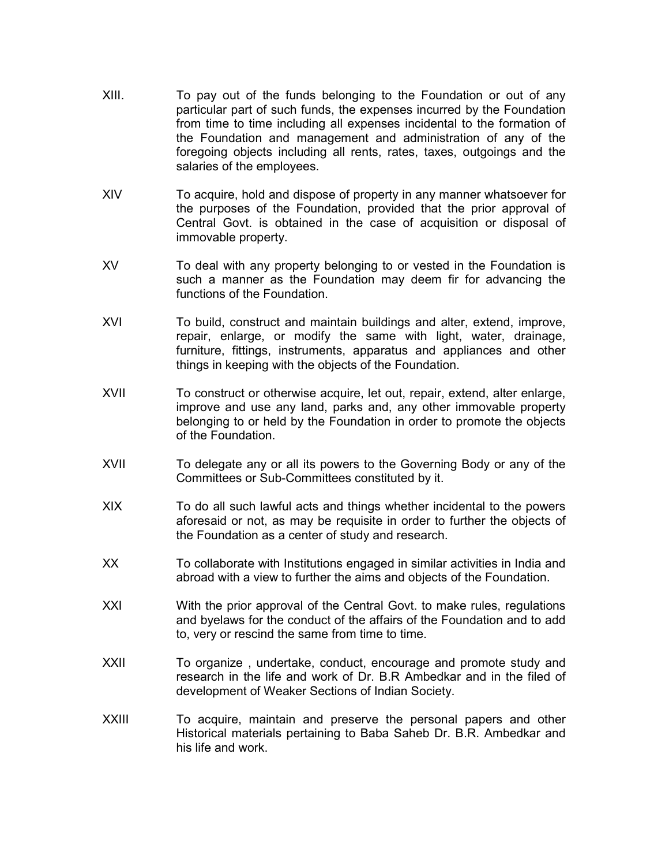- XIII. To pay out of the funds belonging to the Foundation or out of any particular part of such funds, the expenses incurred by the Foundation from time to time including all expenses incidental to the formation of the Foundation and management and administration of any of the foregoing objects including all rents, rates, taxes, outgoings and the salaries of the employees.
- XIV To acquire, hold and dispose of property in any manner whatsoever for the purposes of the Foundation, provided that the prior approval of Central Govt. is obtained in the case of acquisition or disposal of immovable property.
- XV To deal with any property belonging to or vested in the Foundation is such a manner as the Foundation may deem fir for advancing the functions of the Foundation.
- XVI To build, construct and maintain buildings and alter, extend, improve, repair, enlarge, or modify the same with light, water, drainage, furniture, fittings, instruments, apparatus and appliances and other things in keeping with the objects of the Foundation.
- XVII To construct or otherwise acquire, let out, repair, extend, alter enlarge, improve and use any land, parks and, any other immovable property belonging to or held by the Foundation in order to promote the objects of the Foundation.
- XVII To delegate any or all its powers to the Governing Body or any of the Committees or Sub-Committees constituted by it.
- XIX To do all such lawful acts and things whether incidental to the powers aforesaid or not, as may be requisite in order to further the objects of the Foundation as a center of study and research.
- XX To collaborate with Institutions engaged in similar activities in India and abroad with a view to further the aims and objects of the Foundation.
- XXI With the prior approval of the Central Govt. to make rules, regulations and byelaws for the conduct of the affairs of the Foundation and to add to, very or rescind the same from time to time.
- XXII To organize, undertake, conduct, encourage and promote study and research in the life and work of Dr. B.R Ambedkar and in the filed of development of Weaker Sections of Indian Society.
- XXIII To acquire, maintain and preserve the personal papers and other Historical materials pertaining to Baba Saheb Dr. B.R. Ambedkar and his life and work.